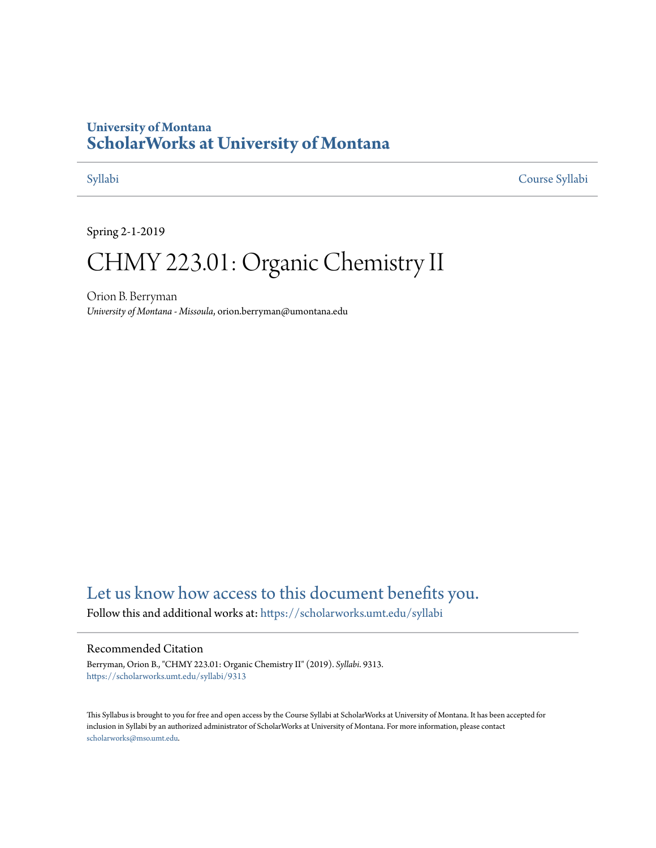# **University of Montana [ScholarWorks at University of Montana](https://scholarworks.umt.edu?utm_source=scholarworks.umt.edu%2Fsyllabi%2F9313&utm_medium=PDF&utm_campaign=PDFCoverPages)**

[Syllabi](https://scholarworks.umt.edu/syllabi?utm_source=scholarworks.umt.edu%2Fsyllabi%2F9313&utm_medium=PDF&utm_campaign=PDFCoverPages) [Course Syllabi](https://scholarworks.umt.edu/course_syllabi?utm_source=scholarworks.umt.edu%2Fsyllabi%2F9313&utm_medium=PDF&utm_campaign=PDFCoverPages)

Spring 2-1-2019

# CHMY 223.01: Organic Chemistry II

Orion B. Berryman *University of Montana - Missoula*, orion.berryman@umontana.edu

# [Let us know how access to this document benefits you.](https://goo.gl/forms/s2rGfXOLzz71qgsB2)

Follow this and additional works at: [https://scholarworks.umt.edu/syllabi](https://scholarworks.umt.edu/syllabi?utm_source=scholarworks.umt.edu%2Fsyllabi%2F9313&utm_medium=PDF&utm_campaign=PDFCoverPages)

#### Recommended Citation

Berryman, Orion B., "CHMY 223.01: Organic Chemistry II" (2019). *Syllabi*. 9313. [https://scholarworks.umt.edu/syllabi/9313](https://scholarworks.umt.edu/syllabi/9313?utm_source=scholarworks.umt.edu%2Fsyllabi%2F9313&utm_medium=PDF&utm_campaign=PDFCoverPages)

This Syllabus is brought to you for free and open access by the Course Syllabi at ScholarWorks at University of Montana. It has been accepted for inclusion in Syllabi by an authorized administrator of ScholarWorks at University of Montana. For more information, please contact [scholarworks@mso.umt.edu](mailto:scholarworks@mso.umt.edu).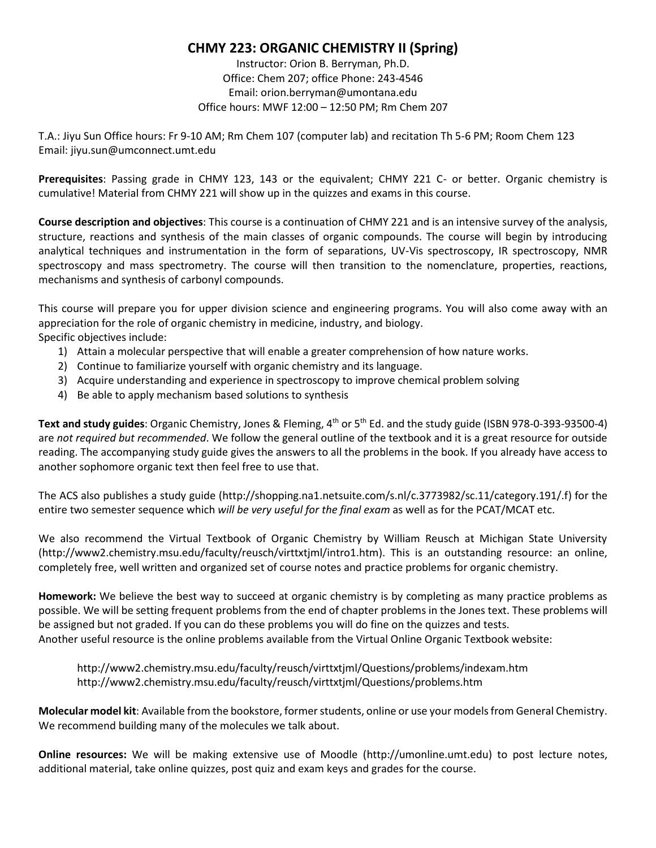# **CHMY 223: ORGANIC CHEMISTRY II (Spring)**

Instructor: Orion B. Berryman, Ph.D. Office: Chem 207; office Phone: 243-4546 Email: orion.berryman@umontana.edu Office hours: MWF 12:00 – 12:50 PM; Rm Chem 207

T.A.: Jiyu Sun Office hours: Fr 9-10 AM; Rm Chem 107 (computer lab) and recitation Th 5-6 PM; Room Chem 123 Email: jiyu.sun@umconnect.umt.edu

**Prerequisites**: Passing grade in CHMY 123, 143 or the equivalent; CHMY 221 C- or better. Organic chemistry is cumulative! Material from CHMY 221 will show up in the quizzes and exams in this course.

**Course description and objectives**: This course is a continuation of CHMY 221 and is an intensive survey of the analysis, structure, reactions and synthesis of the main classes of organic compounds. The course will begin by introducing analytical techniques and instrumentation in the form of separations, UV-Vis spectroscopy, IR spectroscopy, NMR spectroscopy and mass spectrometry. The course will then transition to the nomenclature, properties, reactions, mechanisms and synthesis of carbonyl compounds.

This course will prepare you for upper division science and engineering programs. You will also come away with an appreciation for the role of organic chemistry in medicine, industry, and biology. Specific objectives include:

- 1) Attain a molecular perspective that will enable a greater comprehension of how nature works.
- 2) Continue to familiarize yourself with organic chemistry and its language.
- 3) Acquire understanding and experience in spectroscopy to improve chemical problem solving
- 4) Be able to apply mechanism based solutions to synthesis

Text and study guides: Organic Chemistry, Jones & Fleming, 4<sup>th</sup> or 5<sup>th</sup> Ed. and the study guide (ISBN 978-0-393-93500-4) are *not required but recommended*. We follow the general outline of the textbook and it is a great resource for outside reading. The accompanying study guide gives the answers to all the problems in the book. If you already have access to another sophomore organic text then feel free to use that.

The ACS also publishes a study guide (http://shopping.na1.netsuite.com/s.nl/c.3773982/sc.11/category.191/.f) for the entire two semester sequence which *will be very useful for the final exam* as well as for the PCAT/MCAT etc.

We also recommend the Virtual Textbook of Organic Chemistry by William Reusch at Michigan State University (http://www2.chemistry.msu.edu/faculty/reusch/virttxtjml/intro1.htm). This is an outstanding resource: an online, completely free, well written and organized set of course notes and practice problems for organic chemistry.

**Homework:** We believe the best way to succeed at organic chemistry is by completing as many practice problems as possible. We will be setting frequent problems from the end of chapter problems in the Jones text. These problems will be assigned but not graded. If you can do these problems you will do fine on the quizzes and tests. Another useful resource is the online problems available from the Virtual Online Organic Textbook website:

http://www2.chemistry.msu.edu/faculty/reusch/virttxtjml/Questions/problems/indexam.htm http://www2.chemistry.msu.edu/faculty/reusch/virttxtjml/Questions/problems.htm

**Molecular model kit**: Available from the bookstore, former students, online or use your models from General Chemistry. We recommend building many of the molecules we talk about.

**Online resources:** We will be making extensive use of Moodle (http://umonline.umt.edu) to post lecture notes, additional material, take online quizzes, post quiz and exam keys and grades for the course.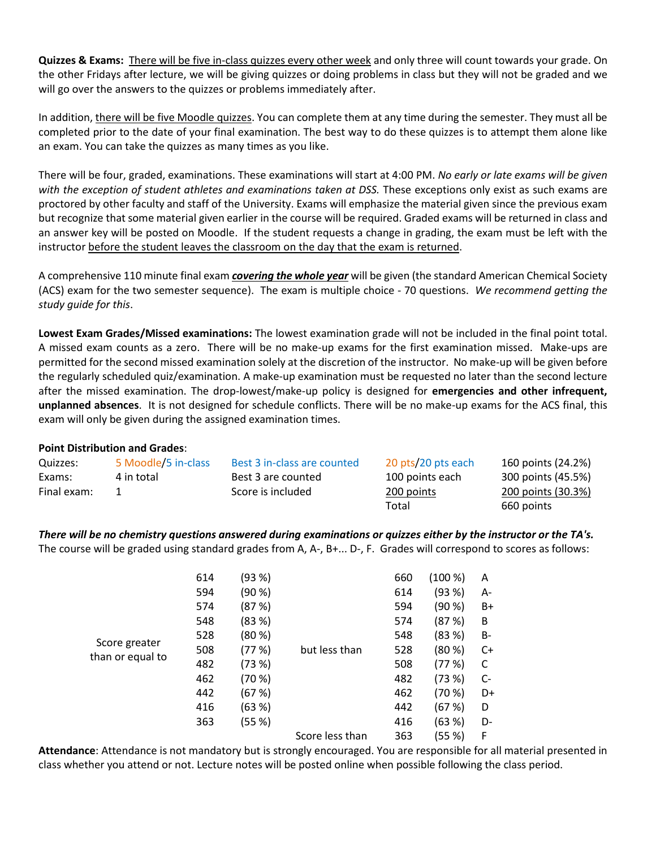**Quizzes & Exams:** There will be five in-class quizzes every other week and only three will count towards your grade. On the other Fridays after lecture, we will be giving quizzes or doing problems in class but they will not be graded and we will go over the answers to the quizzes or problems immediately after.

In addition, there will be five Moodle quizzes. You can complete them at any time during the semester. They must all be completed prior to the date of your final examination. The best way to do these quizzes is to attempt them alone like an exam. You can take the quizzes as many times as you like.

There will be four, graded, examinations. These examinations will start at 4:00 PM. *No early or late exams will be given with the exception of student athletes and examinations taken at DSS.* These exceptions only exist as such exams are proctored by other faculty and staff of the University. Exams will emphasize the material given since the previous exam but recognize that some material given earlier in the course will be required. Graded exams will be returned in class and an answer key will be posted on Moodle. If the student requests a change in grading, the exam must be left with the instructor before the student leaves the classroom on the day that the exam is returned.

A comprehensive 110 minute final exam *covering the whole year* will be given (the standard American Chemical Society (ACS) exam for the two semester sequence). The exam is multiple choice - 70 questions. *We recommend getting the study guide for this*.

**Lowest Exam Grades/Missed examinations:** The lowest examination grade will not be included in the final point total. A missed exam counts as a zero. There will be no make-up exams for the first examination missed. Make-ups are permitted for the second missed examination solely at the discretion of the instructor. No make-up will be given before the regularly scheduled quiz/examination. A make-up examination must be requested no later than the second lecture after the missed examination. The drop-lowest/make-up policy is designed for **emergencies and other infrequent, unplanned absences**. It is not designed for schedule conflicts. There will be no make-up exams for the ACS final, this exam will only be given during the assigned examination times.

# **Point Distribution and Grades**:

| Quizzes:    | 5 Moodle/5 in-class | Best 3 in-class are counted | 20 pts/20 pts each | 160 points (24.2%) |
|-------------|---------------------|-----------------------------|--------------------|--------------------|
| Exams:      | 4 in total          | Best 3 are counted          | 100 points each    | 300 points (45.5%) |
| Final exam: |                     | Score is included           | 200 points         | 200 points (30.3%) |
|             |                     |                             | Total              | 660 points         |

*There will be no chemistry questions answered during examinations or quizzes either by the instructor or the TA's.*  The course will be graded using standard grades from A, A-, B+... D-, F. Grades will correspond to scores as follows:

|                  | 614 | (93 %) |                 | 660 | (100 % | Α    |
|------------------|-----|--------|-----------------|-----|--------|------|
|                  | 594 | (90 %) | but less than   | 614 | (93%)  | А-   |
|                  | 574 | (87%)  |                 | 594 | (90 %) | B+   |
|                  | 548 | (83%)  |                 | 574 | (87%)  | B    |
|                  | 528 | (80 %) |                 | 548 | (83%)  | B-   |
| Score greater    | 508 | (77 %) |                 | 528 | (80 %) | C+   |
| than or equal to | 482 | (73%)  |                 | 508 | (77%)  | C    |
|                  | 462 | (70%)  |                 | 482 | (73%)  | $C-$ |
|                  | 442 | (67 %) |                 | 462 | (70%   | D+   |
|                  | 416 | (63 %) |                 | 442 | (67%)  | D    |
|                  | 363 | (55 %) |                 | 416 | (63%)  | D-   |
|                  |     |        | Score less than | 363 | (55 %) | F    |

**Attendance**: Attendance is not mandatory but is strongly encouraged. You are responsible for all material presented in class whether you attend or not. Lecture notes will be posted online when possible following the class period.